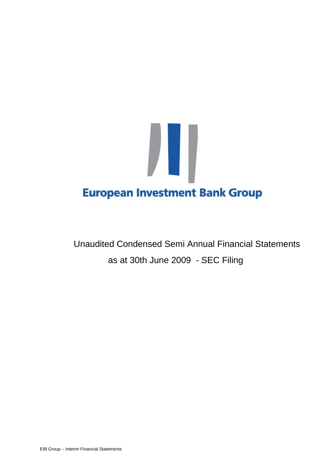

Unaudited Condensed Semi Annual Financial Statements as at 30th June 2009 - SEC Filing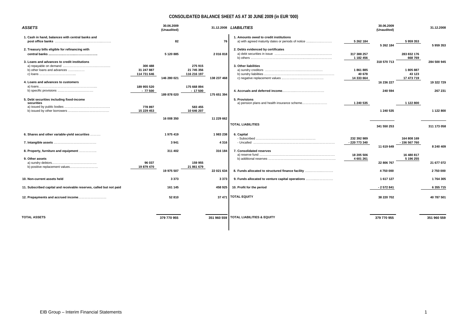#### **CONSOLIDATED BALANCE SHEET AS AT 30 JUNE 2009 (in EUR '000)**

| <b>ASSETS</b>                                                                                       |                                      | 30.06.2009<br>(Unaudited) |                                      |                 | 31.12.2008 LIABILITIES                                                                                                             |                                              | 30.06.2009<br>(Unaudited) |                                           | 31.12.2008            |
|-----------------------------------------------------------------------------------------------------|--------------------------------------|---------------------------|--------------------------------------|-----------------|------------------------------------------------------------------------------------------------------------------------------------|----------------------------------------------|---------------------------|-------------------------------------------|-----------------------|
| 1. Cash in hand, balances with central banks and<br>2. Treasury bills eligible for refinancing with |                                      | 82<br>5 120 885           |                                      | 76<br>2016818   | 1. Amounts owed to credit institutions<br>a) with agreed maturity dates or periods of notice<br>2. Debts evidenced by certificates | 5 262 184<br>317 388 257                     | 5 262 184                 | 5959353<br>283 832 176                    | 5959353               |
| 3. Loans and advances to credit institutions<br>b) other loans and advances                         | 300 488<br>31 247 887<br>114 731 646 | 146 280 021               | 275 915<br>21 745 356<br>116 216 197 | 138 237 468     | 3. Other liabilities                                                                                                               | 1 182 456<br>1861885<br>40 678<br>14 333 664 | 318 570 713               | 668769<br>1805887<br>43 123<br>17 473 719 | 284 500 945           |
| 4. Loans and advances to customers<br>5. Debt securities including fixed-income                     | 189 955 520<br>$-77500$              | 189 878 020               | 175 668 894<br>$-17500$              | 175 651 394     | 5. Provisions                                                                                                                      |                                              | 16 236 227<br>240 594     |                                           | 19 322 729<br>267 231 |
| securities                                                                                          | 778 897<br>15 229 453                |                           | 583 455<br>10 646 207                |                 | a) pension plans and health insurance scheme                                                                                       | 1 240 535                                    | 1 240 535                 | 1 122 800                                 | 1 122 800             |
|                                                                                                     |                                      | 16 008 350                |                                      | 11 229 662      | <b>TOTAL LIABILITIES</b>                                                                                                           |                                              | 341 550 253               |                                           | 311 173 058           |
| 6. Shares and other variable-yield securities                                                       |                                      | 1975419<br>3941           |                                      | 1983238<br>4316 | 6. Capital                                                                                                                         | 232 392 989<br>- 220 773 340                 | 11 619 649                | 164 808 169<br>- 156 567 760              | 8 240 409             |
| 8. Property, furniture and equipment<br>9. Other assets                                             | 96 037                               | 311 402                   | 159 955                              | 316 184         | 7. Consolidated reserves                                                                                                           | 18 205 506<br>4 601 261                      | 22 806 767                | 16 480 817<br>5 196 255                   | 21 677 072            |
| b) positive replacement values                                                                      | 19 879 470                           | 19 975 507                | 21 861 679                           | 22 021 634      | 8. Funds allocated to structured finance facility                                                                                  |                                              | 4750000                   |                                           | 2750000               |
| 10. Non-current assets held                                                                         |                                      | 3 3 7 3                   |                                      | 3373            | 9. Funds allocated to venture capital operations                                                                                   |                                              | 1617127                   |                                           | 1764305               |
| 11. Subscribed capital and receivable reserves, called but not paid                                 |                                      | 161 145                   |                                      | 458 925         | 10. Profit for the period                                                                                                          |                                              | - 2 572 841               |                                           | 6 355 715             |
| 12. Prepayments and accrued income                                                                  |                                      | 52810                     |                                      |                 | 37 471 TOTAL EQUITY                                                                                                                |                                              | 38 220 702                |                                           | 40 787 501            |
| <b>TOTAL ASSETS</b>                                                                                 |                                      | 379 770 955               |                                      | 351 960 559     | <b>TOTAL LIABILITIES &amp; EQUITY</b>                                                                                              |                                              | 379 770 955               |                                           | 351 960 559           |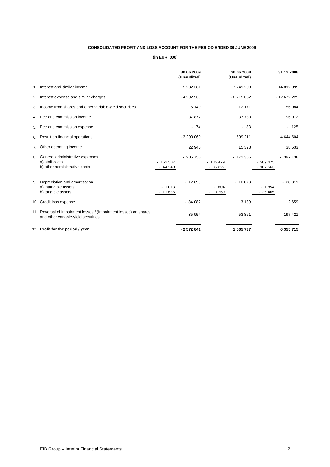## **CONSOLIDATED PROFIT AND LOSS ACCOUNT FOR THE PERIOD ENDED 30 JUNE 2009**

|    |                                                                                                          |                       | 30.06.2009<br>(Unaudited) |                       | 30.06.2008<br>(Unaudited) |                        | 31.12.2008  |
|----|----------------------------------------------------------------------------------------------------------|-----------------------|---------------------------|-----------------------|---------------------------|------------------------|-------------|
| 1. | Interest and similar income                                                                              |                       | 5 282 381                 |                       | 7 249 293                 |                        | 14 812 995  |
| 2. | Interest expense and similar charges                                                                     |                       | $-4292560$                |                       | $-6215062$                |                        | $-12672229$ |
| 3. | Income from shares and other variable-yield securities                                                   |                       | 6 1 4 0                   |                       | 12 171                    |                        | 56 084      |
|    | 4. Fee and commission income                                                                             |                       | 37 877                    |                       | 37 780                    |                        | 96 072      |
| 5. | Fee and commission expense                                                                               |                       | $-74$                     |                       | $-83$                     |                        | $-125$      |
| 6. | Result on financial operations                                                                           |                       | $-3290000$                |                       | 699 211                   |                        | 4 644 604   |
| 7. | Other operating income                                                                                   |                       | 22 940                    |                       | 15 3 28                   |                        | 38 533      |
| 8. | General administrative expenses<br>a) staff costs<br>b) other administrative costs                       | $-162507$<br>$-44243$ | $-206750$                 | $-135479$<br>$-35827$ | $-171306$                 | $-289475$<br>$-107663$ | $-397138$   |
| 9. | Depreciation and amortisation<br>a) intangible assets<br>b) tangible assets                              | $-1013$<br>$-11686$   | $-12699$                  | $-604$<br>10 269      | $-10873$                  | $-1854$<br>$-26465$    | $-28319$    |
|    | 10. Credit loss expense                                                                                  |                       | $-84082$                  |                       | 3 1 3 9                   |                        | 2659        |
|    | 11. Reversal of impairment losses / (Impairment losses) on shares<br>and other variable-yield securities |                       | $-35954$                  |                       | $-53861$                  |                        | $-197421$   |
|    | 12. Profit for the period / year                                                                         |                       | $-2572841$                |                       | 1 565 737                 |                        | 6 355 715   |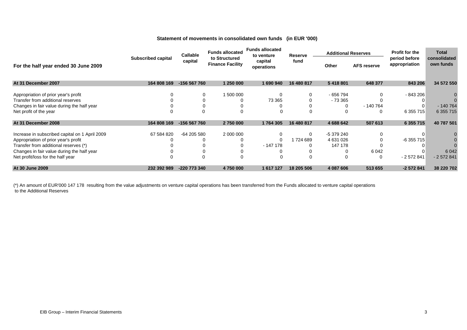#### **Statement of movements in consolidated own funds (in EUR '000)**

|                                                |                           | Callable                                            | <b>Funds allocated</b> | <b>Funds allocated</b><br>to venture | Reserve    | <b>Additional Reserves</b> |                    | <b>Profit for the</b><br>period before<br>appropriation | <b>Total</b>              |
|------------------------------------------------|---------------------------|-----------------------------------------------------|------------------------|--------------------------------------|------------|----------------------------|--------------------|---------------------------------------------------------|---------------------------|
| For the half year ended 30 June 2009           | <b>Subscribed capital</b> | to Structured<br>capital<br><b>Finance Facility</b> |                        | capital<br>operations                | fund       | Other                      | <b>AFS reserve</b> |                                                         | consolidated<br>own funds |
| At 31 December 2007                            | 164 808 169               | -156 567 760                                        | 1 250 000              | 1690940                              | 16 480 817 | 5 418 801                  | 648 377            | 843 206                                                 | 34 572 550                |
| Appropriation of prior year's profit           |                           | 0                                                   | 1 500 000              |                                      | $\Omega$   | - 656 794                  |                    | $-843206$                                               |                           |
| Transfer from additional reserves              |                           |                                                     |                        | 73 365                               |            | $-73.365$                  |                    |                                                         |                           |
| Changes in fair value during the half year     |                           |                                                     |                        |                                      |            | $\Omega$                   | $-140764$          |                                                         | $-140764$                 |
| Net profit of the year                         |                           |                                                     | $\Omega$               |                                      |            |                            | $\Omega$           | 6 355 715                                               | 6 355 715                 |
| At 31 December 2008                            | 164 808 169               | -156 567 760                                        | 2 750 000              | 1764305                              | 16 480 817 | 4 688 642                  | 507 613            | 6 355 715                                               | 40 787 501                |
| Increase in subscribed capital on 1 April 2009 | 67 584 820                | -64 205 580                                         | 2 000 000              |                                      | $\Omega$   | -5 379 240                 |                    |                                                         |                           |
| Appropriation of prior year's profit           |                           |                                                     |                        | $\Omega$                             | 1724 689   | 4 631 026                  |                    | -6 355 715                                              |                           |
| Transfer from additional reserves (*)          |                           |                                                     |                        | $-147178$                            |            | 147 178                    |                    |                                                         |                           |
| Changes in fair value during the half year     |                           |                                                     |                        |                                      |            |                            | 6 0 4 2            |                                                         | 6 0 4 2                   |
| Net profit/loss for the half year              |                           |                                                     | 0                      |                                      |            |                            |                    | $-2572841$                                              | $-2572841$                |
| At 30 June 2009                                | 232 392 989               | -220 773 340                                        | 4 750 000              | 1617127                              | 18 205 506 | 4 087 606                  | 513 655            | $-2572841$                                              | 38 220 702                |

(\*) An amount of EUR'000 147 178 resulting from the value adjustments on venture capital operations has been transferred from the Funds allocated to venture capital operations to the Additional Reserves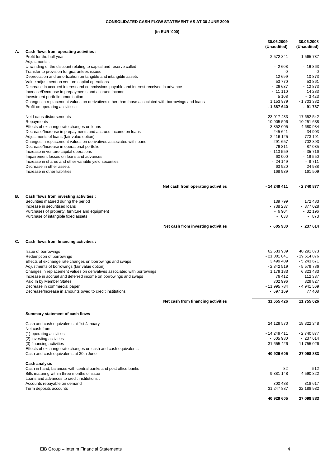#### **CONSOLIDATED CASH FLOW STATEMENT AS AT 30 JUNE 2009**

| А. |                                                                                                                | 30.06.2009<br>(Unaudited) | 30.06.2008<br>(Unaudited) |
|----|----------------------------------------------------------------------------------------------------------------|---------------------------|---------------------------|
|    | Cash flows from operating activities :<br>Profit for the half year<br>Adjustments:                             | $-2572841$                | 1 565 737                 |
|    | Unwinding of the discount relating to capital and reserve called                                               | $-2608$                   | $-16863$                  |
|    | Transfer to provision for quarantees issued                                                                    | 0                         | $\Omega$                  |
|    | Depreciation and amortization on tangible and intangible assets                                                | 12 699                    | 10873                     |
|    | Value adjustment on venture capital operations                                                                 | 53 770                    | 53 861                    |
|    | Decrease in accrued interest and commissions payable and interest received in advance                          | $-26637$<br>$-11110$      | $-12873$<br>14 283        |
|    | Increase/Decrease in prepayments and accrued income<br>Investment portfolio amortisation                       | 5 1 0 8                   | $-3423$                   |
|    | Changes in replacement values on derivatives other than those associated with borrowings and loans             | 1 153 979                 | - 1 703 382               |
|    | Profit on operating activities :                                                                               | - 1 387 640               | - 91 787                  |
|    | Net Loans disbursements                                                                                        | - 23 017 433              | - 17 652 542              |
|    | Repayments                                                                                                     | 10 905 596                | 10 251 638                |
|    | Effects of exchange rate changes on loans                                                                      | $-3352005$                | 4 680 934                 |
|    | Decrease/Increase in prepayments and accrued income on loans                                                   | 245 641                   | $-34903$                  |
|    | Adjustments of loans (fair value option)                                                                       | 2 416 125                 | 773 191                   |
|    | Changes in replacement values on derivatives associated with loans                                             | $-291657$                 | $-702893$                 |
|    | Decrease/Increase in operational portfolio                                                                     | 76 811                    | $-87035$                  |
|    | Increase in venture capital operations                                                                         | $-113559$<br>60 000       | $-35716$<br>$-19550$      |
|    | Impairement losses on loans and advances<br>Increase in shares and other variable yield securities             | $-24149$                  | $-8711$                   |
|    | Decrease in other assets                                                                                       | 63 920                    | 24 988                    |
|    | Increase in other liabilities                                                                                  | 168 939                   | 161 509                   |
|    | Net cash from operating activities                                                                             | $-14249411$               | $-2740877$                |
| В. | Cash flows from investing activities :                                                                         |                           |                           |
|    | Securities matured during the period                                                                           | 139 799                   | 172 483                   |
|    | Increase in securitised loans                                                                                  | - 738 237                 | $-377028$                 |
|    | Purchases of property, furniture and equipment                                                                 | $-6904$                   | $-32196$                  |
|    | Purchase of intangible fixed assets                                                                            | - 638                     | - 873                     |
|    | Net cash from investing activities                                                                             | $-605980$                 | $-237614$                 |
| C. | Cash flows from financing activities :                                                                         |                           |                           |
|    | Issue of borrowings                                                                                            | 62 633 939                | 40 291 873                |
|    | Redemption of borrowings                                                                                       | - 21 001 041              | $-19614876$               |
|    | Effects of exchange rate changes on borrowings and swaps                                                       | 3 499 409                 | - 5 243 671               |
|    | Adjustments of borrowings (fair value option)                                                                  | - 2 342 519               | - 5 579 786               |
|    | Changes in replacement values on derivatives associated with borrowings                                        | 1 179 183                 | 6 323 483                 |
|    | Increase in accrual and deferred income on borrowings and swaps                                                | 76 412                    | 112 337                   |
|    | Paid In by Member States                                                                                       | 302 996                   | 329 827                   |
|    | Decrease in commercial paper<br>Decrease/Increase in amounts owed to credit institutions                       | - 11 995 784<br>$-697169$ | - 4 941 569<br>77 408     |
|    | Net cash from financing activities                                                                             | 31 655 426                | 11 755 026                |
|    | Summary statement of cash flows                                                                                |                           |                           |
|    | Cash and cash equivalents at 1st January<br>Net cash from:                                                     | 24 129 570                | 18 322 348                |
|    | (1) operating activities                                                                                       | - 14 249 411              | - 2 740 877               |
|    | (2) investing activities                                                                                       | $-605980$                 | $-237614$                 |
|    | (3) financing activities                                                                                       | 31 655 426                | 11 755 026                |
|    | Effects of exchange rate changes on cash and cash equivalents<br>Cash and cash equivalents at 30th June        | 40 929 605                | 27 098 883                |
|    | <b>Cash analysis</b>                                                                                           |                           |                           |
|    | Cash in hand, balances with central banks and post office banks<br>Bills maturing within three months of issue | 82<br>9 381 148           | 512<br>4 590 822          |
|    | Loans and advances to credit institutions :                                                                    |                           |                           |
|    | Accounts repayable on demand                                                                                   | 300 488                   | 318 617                   |
|    | Term deposits accounts                                                                                         | 31 247 887                | 22 188 932                |
|    |                                                                                                                | 40 929 605                | 27 098 883                |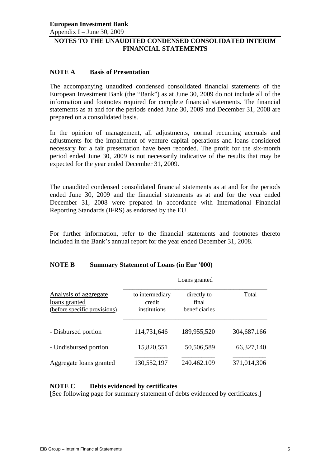Appendix I – June 30, 2009

# **NOTES TO THE UNAUDITED CONDENSED CONSOLIDATED INTERIM FINANCIAL STATEMENTS**

## **NOTE A Basis of Presentation**

The accompanying unaudited condensed consolidated financial statements of the European Investment Bank (the "Bank") as at June 30, 2009 do not include all of the information and footnotes required for complete financial statements. The financial statements as at and for the periods ended June 30, 2009 and December 31, 2008 are prepared on a consolidated basis.

In the opinion of management, all adjustments, normal recurring accruals and adjustments for the impairment of venture capital operations and loans considered necessary for a fair presentation have been recorded. The profit for the six-month period ended June 30, 2009 is not necessarily indicative of the results that may be expected for the year ended December 31, 2009.

The unaudited condensed consolidated financial statements as at and for the periods ended June 30, 2009 and the financial statements as at and for the year ended December 31, 2008 were prepared in accordance with International Financial Reporting Standards (IFRS) as endorsed by the EU.

For further information, refer to the financial statements and footnotes thereto included in the Bank's annual report for the year ended December 31, 2008.

## **NOTE B Summary Statement of Loans (in Eur '000)**

|                                                                        |                                           | Loans granted                         |             |
|------------------------------------------------------------------------|-------------------------------------------|---------------------------------------|-------------|
| Analysis of aggregate<br>loans granted<br>(before specific provisions) | to intermediary<br>credit<br>institutions | directly to<br>final<br>beneficiaries | Total       |
| - Disbursed portion                                                    | 114,731,646                               | 189,955,520                           | 304,687,166 |
| - Undisbursed portion                                                  | 15,820,551                                | 50,506,589                            | 66,327,140  |
| Aggregate loans granted                                                | 130,552,197                               | 240.462.109                           | 371,014,306 |

## **NOTE C Debts evidenced by certificates**

[See following page for summary statement of debts evidenced by certificates.]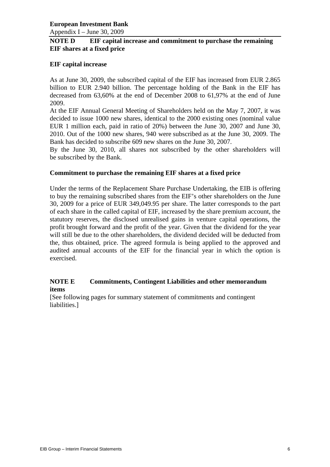Appendix I – June 30, 2009

## **NOTE D EIF capital increase and commitment to purchase the remaining EIF shares at a fixed price**

## **EIF capital increase**

As at June 30, 2009, the subscribed capital of the EIF has increased from EUR 2.865 billion to EUR 2.940 billion. The percentage holding of the Bank in the EIF has decreased from 63,60% at the end of December 2008 to 61,97% at the end of June 2009.

At the EIF Annual General Meeting of Shareholders held on the May 7, 2007, it was decided to issue 1000 new shares, identical to the 2000 existing ones (nominal value EUR 1 million each, paid in ratio of 20%) between the June 30, 2007 and June 30, 2010. Out of the 1000 new shares, 940 were subscribed as at the June 30, 2009. The Bank has decided to subscribe 609 new shares on the June 30, 2007.

By the June 30, 2010, all shares not subscribed by the other shareholders will be subscribed by the Bank.

## **Commitment to purchase the remaining EIF shares at a fixed price**

Under the terms of the Replacement Share Purchase Undertaking, the EIB is offering to buy the remaining subscribed shares from the EIF's other shareholders on the June 30, 2009 for a price of EUR 349,049.95 per share. The latter corresponds to the part of each share in the called capital of EIF, increased by the share premium account, the statutory reserves, the disclosed unrealised gains in venture capital operations, the profit brought forward and the profit of the year. Given that the dividend for the year will still be due to the other shareholders, the dividend decided will be deducted from the, thus obtained, price. The agreed formula is being applied to the approved and audited annual accounts of the EIF for the financial year in which the option is exercised.

## **NOTE E Commitments, Contingent Liabilities and other memorandum items**

[See following pages for summary statement of commitments and contingent liabilities.]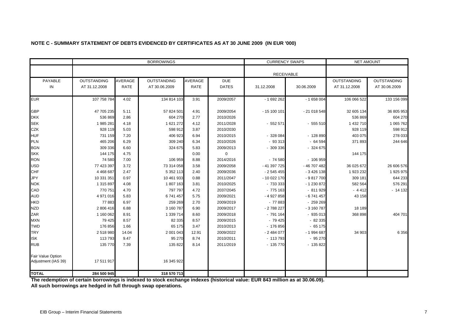|                                          |                    |                | <b>BORROWINGS</b>  |             |              | <b>CURRENCY SWAPS</b> |              | <b>NET AMOUNT</b>  |                    |  |
|------------------------------------------|--------------------|----------------|--------------------|-------------|--------------|-----------------------|--------------|--------------------|--------------------|--|
|                                          |                    |                |                    |             |              | <b>RECEIVABLE</b>     |              |                    |                    |  |
| PAYABLE                                  | <b>OUTSTANDING</b> | <b>AVERAGE</b> | <b>OUTSTANDING</b> | AVERAGE     | <b>DUE</b>   |                       |              | <b>OUTSTANDING</b> | <b>OUTSTANDING</b> |  |
| IN                                       | AT 31.12.2008      | <b>RATE</b>    | AT 30.06.2009      | <b>RATE</b> | <b>DATES</b> | 31.12.2008            | 30.06.2009   | AT 31.12.2008      | AT 30.06.2009      |  |
| <b>EUR</b>                               | 107 758 784        | 4.02           | 134 814 103        | 3.91        | 2009/2057    | $-1692262$            | $-1658004$   | 106 066 522        | 133 156 099        |  |
| <b>GBP</b>                               | 47 705 235         | 5.11           | 57 824 501         | 4.91        | 2009/2054    | $-15100101$           | $-21018548$  | 32 605 134         | 36 805 953         |  |
| <b>DKK</b>                               | 536 869            | 2.86           | 604 270            | 2.77        | 2010/2026    |                       |              | 536 869            | 604 270            |  |
| <b>SEK</b>                               | 1985281            | 4.18           | 1 621 272          | 4.12        | 2011/2028    | $-552571$             | $-555510$    | 1 432 710          | 1 065 762          |  |
| <b>CZK</b>                               | 928 119            | 5.03           | 598 912            | 3.87        | 2010/2030    |                       |              | 928 119            | 598 912            |  |
| <b>HUF</b>                               | 731 159            | 7.20           | 406 923            | 6.94        | 2010/2015    | $-328084$             | $-128890$    | 403 075            | 278 033            |  |
| <b>PLN</b>                               | 465 206            | 6.29           | 309 240            | 6.34        | 2010/2026    | $-93313$              | $-64594$     | 371893             | 244 646            |  |
| <b>BGN</b>                               | 309 336            | 6.60           | 324 675            | 5.83        | 2009/2013    | $-309336$             | $-324675$    |                    |                    |  |
| <b>SKK</b>                               | 144 175            | 4.75           |                    | 0.00        | $\Omega$     |                       |              | 144 175            |                    |  |
| <b>RON</b>                               | 74 580             | 7.00           | 106 959            | 8.88        | 2014/2016    | $-74580$              | $-106959$    |                    |                    |  |
| <b>USD</b>                               | 77 423 397         | 3.72           | 73 314 058         | 3.58        | 2009/2058    | - 41 397 725          | - 46 707 482 | 36 025 672         | 26 606 576         |  |
| <b>CHF</b>                               | 4 4 68 6 87        | 2.47           | 5 3 5 2 1 1 3      | 2.40        | 2009/2036    | $-2545455$            | $-3426138$   | 1 923 232          | 1 925 975          |  |
| <b>JPY</b>                               | 10 331 351         | 0.97           | 10 461 933         | 0.88        | 2011/2047    | - 10 022 170          | $-9817700$   | 309 181            | 644 233            |  |
| <b>NOK</b>                               | 1 315 897          | 4.08           | 1807163            | 3.81        | 2010/2025    | $-733333$             | - 1 230 872  | 582 564            | 576 291            |  |
| CAD                                      | 770 751            | 4.70           | 797 797            | 4.72        | 2037/2045    | $-775163$             | $-811929$    | $-4412$            | $-14132$           |  |
| <b>AUD</b>                               | 4 971 016          | 5.83           | 6741457            | 5.75        | 2009/2021    | -4927858              | $-6741457$   | 43 158             |                    |  |
| <b>HKD</b>                               | 77883              | 6.97           | 259 269            | 2.70        | 2009/2019    | $-77883$              | $-259269$    |                    |                    |  |
| <b>NZD</b>                               | 2 806 416          | 6.88           | 3 160 787          | 6.90        | 2009/2017    | - 2 788 227           | $-3160787$   | 18 18 9            |                    |  |
| ZAR                                      | 1 160 062          | 8.91           | 1 339 714          | 8.60        | 2009/2018    | $-791164$             | $-935013$    | 368 898            | 404 701            |  |
| <b>MXN</b>                               | 79 4 25            | 8.57           | 82 335             | 8.57        | 2009/2015    | $-79425$              | $-82335$     |                    |                    |  |
| <b>TWD</b>                               | 176 856            | 1.66           | 65 175             | 3.47        | 2010/2013    | $-176856$             | $-65175$     |                    |                    |  |
| <b>TRY</b>                               | 2518980            | 14.04          | 2 001 043          | 12.91       | 2009/2022    | $-2484077$            | - 1 994 687  | 34 903             | 6 3 5 6            |  |
| <b>ISK</b>                               | 113793             | 9.47           | 95 270             | 8.74        | 2010/2011    | $-113793$             | $-95270$     |                    |                    |  |
| <b>RUB</b>                               | 135 770            | 7.39           | 135 822            | 8.14        | 2011/2019    | $-135770$             | $-135822$    |                    |                    |  |
| Fair Value Option<br>Adjustment (IAS 39) | 17 511 917         |                | 16 345 922         |             |              |                       |              |                    |                    |  |
| <b>TOTAL</b>                             | 284 500 945        |                | 318 570 713        |             |              |                       |              |                    |                    |  |

## **NOTE C - SUMMARY STATEMENT OF DEBTS EVIDENCED BY CERTIFICATES AS AT 30 JUNE 2009 (IN EUR '000)**

**The redemption of certain borrowings is indexed to stock exchange indexes (historical value: EUR 843 million as at 30.06.09).**

**All such borrowings are hedged in full through swap operations.**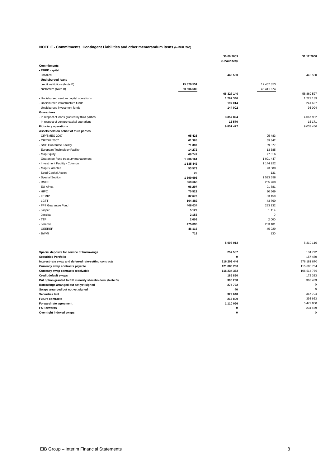#### **NOTE E - Commitments, Contingent Liabilities and other memorandum items (in EUR '000)**

|                                                                       |                   | 30.06.2009           |                   | 31.12.2008                  |
|-----------------------------------------------------------------------|-------------------|----------------------|-------------------|-----------------------------|
|                                                                       |                   | (Unaudited)          |                   |                             |
| <b>Commitments</b>                                                    |                   |                      |                   |                             |
| - EBRD capital                                                        |                   |                      |                   |                             |
| . uncalled                                                            |                   | 442 500              |                   | 442 500                     |
| - Undisbursed loans                                                   | 15 820 551        |                      | 12 457 853        |                             |
| . credit institutions (Note B)                                        |                   |                      |                   |                             |
| . customers (Note B)                                                  | 50 506 589        |                      | 46 411 674        |                             |
|                                                                       |                   | 66 327 140           |                   | 58 869 527<br>1 2 2 7 1 3 9 |
| - Undisbursed venture capital operations                              |                   | 1 262 340<br>197 014 |                   | 241 627                     |
| - Undisbursed infrastructure funds<br>- Undisbursed investment funds  |                   | 144 002              |                   | 93 094                      |
| Guarantees:                                                           |                   |                      |                   |                             |
|                                                                       |                   | 3 3 5 7 8 2 4        |                   | 4 067 932                   |
| - In respect of loans granted by third parties                        |                   |                      |                   | 15 171                      |
| - In respect of venture capital operations                            |                   | 15 570<br>9 851 427  |                   | 9 0 3 46 6                  |
| <b>Fiduciary operations</b><br>Assets held on behalf of third parties |                   |                      |                   |                             |
| - CIP/SMEG 2007                                                       | 95 4 28           |                      | 95 483            |                             |
| - CIP/GIF 2007                                                        | 61 385            |                      | 69 342            |                             |
|                                                                       |                   |                      | 69 877            |                             |
| - SME Guarantee Facility                                              | 71 387<br>14 27 2 |                      | 13 5 8 5          |                             |
| - European Technology Facility                                        | 66 747            |                      | 77816             |                             |
| - Map Equity                                                          | 1 206 161         |                      | 1 091 447         |                             |
| - Guarantee Fund treasury management                                  | 1 135 443         |                      | 1 144 922         |                             |
| - Investment Facility - Cotonou<br>- Map Guarantee                    | 53 573            |                      | 73 580            |                             |
|                                                                       | 25                |                      | 131               |                             |
| - Seed Capital Action<br>- Special Section                            | 1590995           |                      | 1 593 398         |                             |
| - RSFF                                                                | 368 668           |                      |                   |                             |
| - EU-Africa                                                           | 96 297            |                      | 205 760<br>91 881 |                             |
| - HIPC                                                                | 70 522            |                      | 90 569            |                             |
| - FEMIP                                                               | 32 673            |                      | 33 159            |                             |
| - LGTT                                                                | 104 382           |                      | 43 760            |                             |
| - FP7 Guarantee Fund                                                  | 408 034           |                      | 283 132           |                             |
| - Jasper                                                              | 5 1 2 9           |                      | 1 1 1 4           |                             |
| - Jessica                                                             | 2 1 5 3           |                      | $\mathsf 0$       |                             |
| $-TTP$                                                                | 2009              |                      | 2 0 0 0           |                             |
| - Jeremie                                                             | 475 896           |                      | 283 101           |                             |
| - GEEREF                                                              | 46 115            |                      | 45 9 29           |                             |
| - BWMi                                                                | 718               |                      | 130               |                             |
|                                                                       |                   |                      |                   |                             |
|                                                                       |                   | 5 908 012            |                   | 5 310 116                   |
|                                                                       |                   |                      |                   |                             |
| Special deposits for service of borrowings                            |                   | 257 587              |                   | 134 772                     |
| <b>Securities Portfolio</b>                                           |                   | 0                    |                   | 157 480                     |
| Interest-rate swap and deferred rate-setting contracts                |                   | 316 203 446          |                   | 276 181 870                 |
| Currency swap contracts payable                                       |                   | 121 880 230          |                   | 115 600 764                 |
| Currency swap contracts receivable                                    |                   | 116 234 352          |                   | 106 514 766                 |
| <b>Credit default swaps</b>                                           |                   | 189 860              |                   | 172 383                     |
| Put option granted to EIF minority shareholders (Note D)              |                   | 390 238              |                   | 363 433                     |
| Borrowings arranged but not yet signed                                |                   | 274 722              |                   | $\pmb{0}$                   |
| Swaps arranged but not yet signed                                     |                   | 40                   |                   | 0                           |
| <b>Securities lent</b>                                                |                   | 329 648              |                   | 367 704                     |
| <b>Future contracts</b>                                               |                   | 215 800              |                   | 393 663                     |
| Forward rate agreement                                                |                   | 1 110 096            |                   | 5 472 000                   |
| <b>FX Forwards</b>                                                    |                   | 0                    |                   | 234 469                     |
| Overnight indexed swaps                                               |                   | 0                    |                   | 0                           |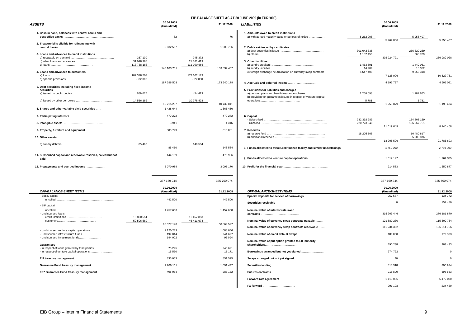#### **EIB BALANCE SHEET AS AT 30 JUNE 2009 (in EUR '000)**

| <b>ASSETS</b>                                                                                                    | 30.06.2009<br>(Unaudited)                               |                                          | 31.12.2008        | <b>LIABILITIES</b>                                                                                               |                                  | 30.06.2009<br>(Unaudited) |                                        | 31.12.2008  |
|------------------------------------------------------------------------------------------------------------------|---------------------------------------------------------|------------------------------------------|-------------------|------------------------------------------------------------------------------------------------------------------|----------------------------------|---------------------------|----------------------------------------|-------------|
| 1. Cash in hand, balances with central banks and                                                                 | 82                                                      |                                          | 76                | 1. Amounts owed to credit institutions<br>a) with agreed maturity dates or periods of notice                     | 5 262 006                        | 5 262 006                 | 5 958 407                              | 5 958 407   |
| 2. Treasury bills eligible for refinancing with<br>central banks<br>3. Loans and advances to credit institutions | 5 032 507<br>267 130                                    | 245 372                                  | 1 908 756         | 2. Debts evidenced by certificates                                                                               | 301 042 335<br>1 182 456         | 302 224 791               | 266 320 259<br>668 769                 | 266 989 028 |
| 4. Loans and advances to customers                                                                               | 31 098 388<br>113 738 183<br>145 103 701<br>187 378 503 | 21 361 419<br>111 990 666<br>173 662 179 | 133 597 457       | 3. Other liabilities<br>c) foreign exchange neutralization on currency swap contracts                            | 1 463 591<br>14 909<br>5 647 406 |                           | 1 449 061<br>18 3 5 2<br>9 0 5 5 3 1 8 |             |
|                                                                                                                  | $-82000$                                                | $-22000$                                 |                   |                                                                                                                  |                                  | 7 125 906                 |                                        | 10 522 731  |
| 5. Debt securities including fixed-income<br>securities                                                          | 187 296 503                                             |                                          | 173 640 179       | 5. Provisions for liabilities and charges                                                                        |                                  | 4 193 797                 |                                        | 4 905 091   |
|                                                                                                                  | 659 075                                                 | 454 413                                  |                   | a) pension plans and health insurance scheme<br>b) provision for guarantees issued in respect of venture capital | 1 250 098                        |                           | 1 187 653                              |             |
|                                                                                                                  | 14 556 182<br>15 215 257                                | 10 278 428                               | 10 732 841        |                                                                                                                  | 5781                             | 1 255 879                 | 5781                                   | 1 193 434   |
| 6. Shares and other variable-yield securities                                                                    | 1 428 644                                               |                                          | 1 366 456         |                                                                                                                  |                                  |                           |                                        |             |
|                                                                                                                  | 479 272                                                 |                                          | 479 272           | 6. Capital                                                                                                       | 232 392 989                      |                           | 164 808 169                            |             |
|                                                                                                                  | 3 9 4 1                                                 |                                          | 4 3 1 6           |                                                                                                                  | - 220 773 340                    | 11 619 649                | - 156 567 761                          | 8 240 408   |
| 9. Property, furniture and equipment<br>10. Other assets                                                         | 308 729                                                 |                                          | 313 881           | 7. Reserves                                                                                                      | 18 205 506<br>$\overline{0}$     |                           | 16 480 817<br>5 305 876                |             |
|                                                                                                                  |                                                         |                                          |                   |                                                                                                                  |                                  | 18 205 506                |                                        | 21 786 693  |
|                                                                                                                  | 85 460<br>85 460                                        | 148 584                                  | 148 584           | 8. Funds allocated to structured finance facility and similar undertakings                                       |                                  | 4750000                   |                                        | 2 750 000   |
| 11. Subscribed capital and receivable reserves, called but not<br>paid                                           | 144 159                                                 |                                          | 473 986           | 9. Funds allocated to venture capital operations                                                                 |                                  | 1 617 127                 |                                        | 1764 305    |
| 12. Prepayments and accrued income                                                                               | 2 070 989                                               |                                          | 3 0 9 5 1 7 0     |                                                                                                                  |                                  | 914 583                   |                                        | 1 650 877   |
|                                                                                                                  | 357 169 244                                             |                                          | 325 760 974       |                                                                                                                  |                                  | 357 169 244               |                                        | 325 760 974 |
| <b>OFF-BALANCE-SHEET ITEMS</b>                                                                                   | 30.06.2009<br>(Unaudited)                               |                                          | 31.12.2008        | <b>OFF-BALANCE-SHEET ITEMS</b>                                                                                   |                                  | 30.06.2009<br>(Unaudited) |                                        | 31.12.2008  |
| - EBRD capital                                                                                                   |                                                         |                                          |                   | Special deposits for service of borrowings                                                                       |                                  | 257 587                   |                                        | 134 772     |
| $\cdot$ uncalled $\ldots$<br>- EIF capital                                                                       | 442 500                                                 |                                          | 442 500           | Securities receivable                                                                                            |                                  | $\overline{0}$            |                                        | 157 480     |
| · uncalled<br>- Undisbursed loans                                                                                | 1 457 600                                               |                                          | 1 457 600         | Nominal value of interest rate swap                                                                              |                                  | 316 203 446               |                                        | 276 181 870 |
|                                                                                                                  | 15 820 551<br>50 506 589<br>66 327 140                  | 12 457 853<br>46 411 674                 | 58 869 527        | Nominal value of currency swap contracts payable                                                                 |                                  | 121 880 230               |                                        | 115 600 764 |
| - Undisbursed venture capital operations                                                                         | 1 120 283                                               |                                          | 1 088 046         | Nominal value of currency swap contracts receivable                                                              |                                  | 116 234 352               |                                        | 106 514 766 |
| - Undisbursed investment funds                                                                                   | 197 014<br>144 002                                      |                                          | 241 627<br>93 094 | Nominal value of put option granted to EIF minority                                                              |                                  | 189 860                   |                                        | 172 383     |
| <b>Guarantees</b>                                                                                                |                                                         |                                          |                   | shareholders                                                                                                     |                                  | 390 238                   |                                        | 363 433     |
| - In respect of loans granted by third parties                                                                   | 75 225<br>15 570                                        |                                          | 246 621<br>15 171 | Borrowings arranged but not yet signed                                                                           |                                  | 274 722                   |                                        |             |
|                                                                                                                  | 835 063                                                 |                                          | 851 595           | Swaps arranged but not yet signed                                                                                |                                  | 40                        |                                        |             |
| Guarantee Fund treasury management                                                                               | 1 206 161                                               |                                          | 1 0 9 1 4 4 7     |                                                                                                                  |                                  | 318 318                   |                                        | 306 934     |
| FP7 Guarantee Fund treasury management                                                                           | 408 034                                                 |                                          | 283 132           |                                                                                                                  |                                  | 215 800                   |                                        | 393 663     |
|                                                                                                                  |                                                         |                                          |                   | Forward rate agreement                                                                                           |                                  | 1 110 096                 |                                        | 5.472.000   |

| - - -                                                                                        |                           | (Unaudited)               |                           |                      |                                                                                                                  |                            | (Unaudited)                |                           |                            |
|----------------------------------------------------------------------------------------------|---------------------------|---------------------------|---------------------------|----------------------|------------------------------------------------------------------------------------------------------------------|----------------------------|----------------------------|---------------------------|----------------------------|
| Cash in hand, balances with central banks and                                                |                           | 82                        |                           | 76                   | 1. Amounts owed to credit institutions<br>a) with agreed maturity dates or periods of notice                     | 5 262 006                  | 5 262 006                  | 5 958 407                 | 5 958 407                  |
| . Treasury bills eligible for refinancing with                                               |                           | 5 032 507                 |                           | 1908 756             | 2. Debts evidenced by certificates                                                                               |                            |                            |                           |                            |
| Loans and advances to credit institutions                                                    | 267 130                   |                           | 245 372                   |                      |                                                                                                                  | 301 042 335<br>1 182 456   | 302 224 791                | 266 320 259<br>668 769    | 266 989 028                |
| b) other loans and advances                                                                  | 31 098 388<br>113 738 183 |                           | 21 361 419<br>111 990 666 |                      | 3. Other liabilities                                                                                             | 1 463 591                  |                            | 1 449 061                 |                            |
| Loans and advances to customers                                                              | 187 378 503               | 145 103 701               | 173 662 179               | 133 597 457          | c) foreign exchange neutralization on currency swap contracts                                                    | 14 909<br>5 647 406        | 7 125 906                  | 18 3 5 2<br>9 0 5 5 3 1 8 | 10 522 731                 |
| b) specific provisions                                                                       | $-82000$                  | 187 296 503               | $-22000$                  | 173 640 179          |                                                                                                                  |                            | 4 193 797                  |                           | 4 905 091                  |
| Debt securities including fixed-income<br>securities                                         |                           |                           |                           |                      | 5. Provisions for liabilities and charges                                                                        |                            |                            |                           |                            |
|                                                                                              | 659 075                   |                           | 454 413                   |                      | a) pension plans and health insurance scheme<br>b) provision for guarantees issued in respect of venture capital | 1 250 098                  |                            | 1 187 653                 |                            |
|                                                                                              | 14 556 182                | 15 215 257                | 10 278 428                | 10 732 841           |                                                                                                                  | 5781                       | 1 255 879                  | 5781                      | 1 193 434                  |
| Shares and other variable-yield securities                                                   |                           | 1 428 644                 |                           | 1 366 456            |                                                                                                                  |                            |                            |                           |                            |
|                                                                                              |                           | 479 272                   |                           | 479 272              | 6. Capital                                                                                                       | 232 392 989                |                            | 164 808 169               |                            |
|                                                                                              |                           | 3 9 4 1                   |                           | 4 3 1 6              |                                                                                                                  | - 220 773 340              | 11 619 649                 | - 156 567 761             | 8 240 408                  |
| Property, furniture and equipment<br>Other assets                                            |                           | 308 729                   |                           | 313881               | 7. Reserves                                                                                                      | 18 205 506<br>$\mathbf{0}$ |                            | 16 480 817<br>5 305 876   |                            |
|                                                                                              | 85 460                    |                           | 148 584                   |                      |                                                                                                                  |                            | 18 205 506                 |                           | 21 786 693                 |
|                                                                                              |                           | 85 460                    |                           | 148 584              | 8. Funds allocated to structured finance facility and similar undertakings                                       |                            | 4750000                    |                           | 2 750 000                  |
| Subscribed capital and receivable reserves, called but not<br>paid                           |                           | 144 159                   |                           | 473 986              | 9. Funds allocated to venture capital operations                                                                 |                            | 1 617 127                  |                           | 1764305                    |
| Prepayments and accrued income                                                               |                           | 2 070 989                 |                           | 3 0 9 5 1 7 0        |                                                                                                                  |                            | 914 583                    |                           | 1 650 877                  |
|                                                                                              |                           |                           |                           |                      |                                                                                                                  |                            |                            |                           |                            |
|                                                                                              |                           | 357 169 244<br>30.06.2009 |                           | 325 760 974          |                                                                                                                  |                            | 357 169 244<br>30.06.2009  |                           | 325 760 974                |
| <b>OFF-BALANCE-SHEET ITEMS</b>                                                               |                           | (Unaudited)               |                           | 31.12.2008           | <b>OFF-BALANCE-SHEET ITEMS</b>                                                                                   |                            | (Unaudited)                |                           | 31.12.2008                 |
| - EBRD capital<br>· uncalled                                                                 |                           | 442 500                   |                           | 442 500              | Special deposits for service of borrowings<br>Securities receivable                                              |                            | 257 587<br>$\Omega$        |                           | 134 772<br>157 480         |
| EIF capital<br>- uncalled                                                                    |                           | 1 457 600                 |                           | 1 457 600            | Nominal value of interest rate swap                                                                              |                            |                            |                           |                            |
| <b>Undisbursed loans</b>                                                                     | 15 820 551<br>50 506 589  |                           | 12 457 853<br>46 411 674  |                      | Nominal value of currency swap contracts payable                                                                 |                            | 316 203 446<br>121 880 230 |                           | 276 181 870<br>115 600 764 |
|                                                                                              |                           | 66 327 140                |                           | 58 869 527           | Nominal value of currency swap contracts receivable                                                              |                            | 116 234 352                |                           | 106 514 766                |
| Undisbursed venture capital operations                                                       |                           | 1 120 283<br>197 014      |                           | 1 088 046<br>241 627 |                                                                                                                  |                            | 189 860                    |                           | 172 383                    |
| - Undisbursed investment funds<br>Guarantees                                                 |                           | 144 002                   |                           | 93 094               | Nominal value of put option granted to EIF minority                                                              |                            | 390 238                    |                           | 363 433                    |
| - In respect of loans granted by third parties<br>- In respect of venture capital operations |                           | 75 2 25<br>15 570         |                           | 246 621<br>15 171    | shareholders<br>Borrowings arranged but not yet signed                                                           |                            | 274 722                    |                           | $\mathbf 0$                |
|                                                                                              |                           | 835 063                   |                           | 851 595              | Swaps arranged but not yet signed                                                                                |                            | 40                         |                           | $\mathbf 0$                |
| Guarantee Fund treasury management                                                           |                           | 1 206 161                 |                           | 1 091 447            |                                                                                                                  |                            | 318 318                    |                           | 306 934                    |
| FP7 Guarantee Fund treasury management                                                       |                           | 408 034                   |                           | 283 132              |                                                                                                                  |                            | 215 800                    |                           | 393 663                    |
|                                                                                              |                           |                           |                           |                      | Forward rate agreement                                                                                           |                            | 1 110 096                  |                           | 5 472 000                  |
|                                                                                              |                           |                           |                           |                      |                                                                                                                  |                            | 291 103                    |                           | 234 469                    |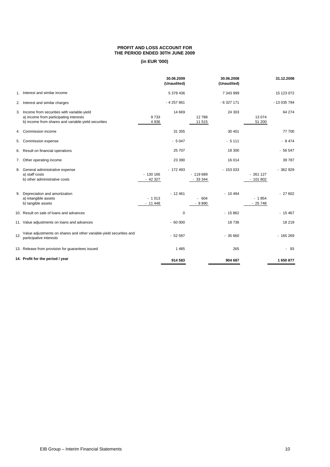#### **PROFIT AND LOSS ACCOUNT FOR THE PERIOD ENDED 30TH JUNE 2009**

|     |                                                                                                                                                |                       | 30.06.2009<br>(Unaudited) |                       | 30.06.2008<br>(Unaudited) |                        | 31.12.2008   |
|-----|------------------------------------------------------------------------------------------------------------------------------------------------|-----------------------|---------------------------|-----------------------|---------------------------|------------------------|--------------|
|     | 1. Interest and similar income                                                                                                                 |                       | 5 378 436                 |                       | 7 343 999                 |                        | 15 123 072   |
|     | 2. Interest and similar charges                                                                                                                |                       | $-4257861$                |                       | $-6327171$                |                        | - 13 035 794 |
|     | 3. Income from securities with variable-yield<br>a) income from participating interests<br>b) income from shares and variable-yield securities | 9733<br>4936          | 14 669                    | 12788<br>11 515       | 24 303                    | 13 0 74<br>51 200      | 64 274       |
|     | 4. Commission income                                                                                                                           |                       | 31 355                    |                       | 30 401                    |                        | 77 700       |
|     | 5. Commission expense                                                                                                                          |                       | $-5047$                   |                       | $-5111$                   |                        | $-8474$      |
|     | 6. Result on financial operations                                                                                                              |                       | 25 70 7                   |                       | 18 300                    |                        | $-56547$     |
|     | 7. Other operating income                                                                                                                      |                       | 23 390                    |                       | 16 014                    |                        | 39 787       |
| 8.  | General administrative expense<br>a) staff costs<br>b) other administrative costs                                                              | $-130166$<br>$-42327$ | $-172493$                 | $-119689$<br>$-33344$ | $-153033$                 | $-261127$<br>$-101802$ | $-362929$    |
|     | 9. Depreciation and amortization<br>a) intangible assets<br>b) tangible assets                                                                 | $-1013$<br>$-11448$   | $-12461$                  | $-604$<br>$-9890$     | $-10494$                  | $-1854$<br>$-25748$    | $-27602$     |
|     | 10. Result on sale of loans and advances                                                                                                       |                       | 0                         |                       | $-15862$                  |                        | $-15467$     |
|     | 11. Value adjustments on loans and advances                                                                                                    |                       | $-60000$                  |                       | 18736                     |                        | 18 219       |
| 12. | Value adjustments on shares and other variable-yield securities and<br>participative interests                                                 |                       | $-52597$                  |                       | $-35660$                  |                        | $-165269$    |
|     | 13. Release from provision for guarantees issued                                                                                               |                       | 1 4 8 5                   |                       | 265                       |                        | $-93$        |
|     | 14. Profit for the period / year                                                                                                               |                       | 914 583                   |                       | 904 687                   |                        | 1650877      |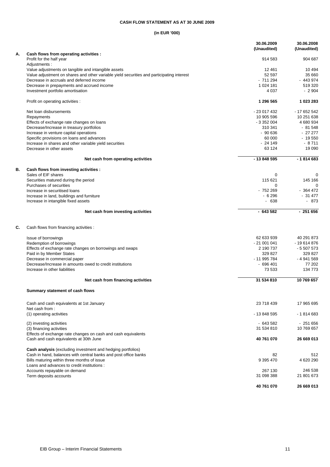### **CASH FLOW STATEMENT AS AT 30 JUNE 2009**

|    |                                                                                           | 30.06.2009<br>(Unaudited) | 30.06.2008<br>(Unaudited) |
|----|-------------------------------------------------------------------------------------------|---------------------------|---------------------------|
| А. | Cash flows from operating activities :                                                    |                           |                           |
|    | Profit for the half year                                                                  | 914 583                   | 904 687                   |
|    | Adjustments :                                                                             |                           |                           |
|    | Value adjustments on tangible and intangible assets                                       | 12 4 61                   | 10 4 94                   |
|    | Value adjustment on shares and other variable yield securities and participating interest | 52 597                    | 35 660                    |
|    | Decrease in accruals and deferred income                                                  | $-711294$                 | $-443974$                 |
|    | Decrease in prepayments and accrued income<br>Investment portfolio amortisation           | 1 0 24 1 81<br>4 0 3 7    | 519 320<br>$-2904$        |
|    | Profit on operating activities :                                                          | 1 296 565                 | 1 023 283                 |
|    | Net loan disbursements                                                                    | - 23 017 432              | - 17 652 542              |
|    | Repayments                                                                                | 10 905 596                | 10 251 638                |
|    | Effects of exchange rate changes on loans                                                 | $-3352004$                | 4 680 934                 |
|    | Decrease/Increase in treasury portfolios                                                  | 310 341                   | $-81548$                  |
|    | Increase in venture capital operations                                                    | $-90636$                  | $-2727$                   |
|    | Specific provisions on loans and advances                                                 | 60 000                    | $-19550$                  |
|    | Increase in shares and other variable yield securities                                    | $-24149$                  | $-8711$                   |
|    | Decrease in other assets                                                                  | 63 124                    | 19 0 90                   |
|    | Net cash from operating activities                                                        | - 13 848 595              | $-1814683$                |
| В. | Cash flows from investing activities :                                                    |                           |                           |
|    | Sales of EIF shares                                                                       | 0                         | 0                         |
|    | Securities matured during the period<br>Purchases of securities                           | 115 621<br>0              | 145 166<br>$\Omega$       |
|    | Increase in securitised loans                                                             | - 752 269                 | $-364472$                 |
|    | Increase in land, buildings and furniture                                                 | $-6296$                   | $-31477$                  |
|    | Increase in intangible fixed assets                                                       | $-638$                    | - 873                     |
|    | Net cash from investing activities                                                        | $-643582$                 | $-251656$                 |
| C. | Cash flows from financing activities :                                                    |                           |                           |
|    | Issue of borrowings                                                                       | 62 633 939                | 40 291 873                |
|    | Redemption of borrowings                                                                  | $-21001041$               | - 19 614 876              |
|    | Effects of exchange rate changes on borrowings and swaps                                  | 2 190 737                 | $-5507573$                |
|    | Paid in by Member States                                                                  | 329 827                   | 329 827                   |
|    | Decrease in commercial paper                                                              | - 11 995 784              | -4941569                  |
|    | Decrease/Increase in amounts owed to credit institutions                                  | $-696401$                 | 77 202                    |
|    | Increase in other liabilities                                                             | 73 533                    | 134 773                   |
|    | Net cash from financing activities                                                        | 31 534 810                | 10769657                  |
|    | Summary statement of cash flows                                                           |                           |                           |
|    | Cash and cash equivalents at 1st January                                                  | 23 718 439                | 17 965 695                |
|    | Net cash from:<br>(1) operating activities                                                | - 13 848 595              | $-1814683$                |
|    | (2) investing activities                                                                  | $-643582$                 | $-251656$                 |
|    | (3) financing activities                                                                  | 31 534 810                | 10 769 657                |
|    | Effects of exchange rate changes on cash and cash equivalents                             |                           |                           |
|    | Cash and cash equivalents at 30th June                                                    | 40 761 070                | 26 669 013                |
|    | <b>Cash analysis</b> (excluding investment and hedging portfolios)                        |                           |                           |
|    | Cash in hand, balances with central banks and post office banks                           | 82                        | 512                       |
|    | Bills maturing within three months of issue                                               | 9 395 470                 | 4 620 290                 |
|    | Loans and advances to credit institutions :                                               |                           |                           |
|    | Accounts repayable on demand                                                              | 267 130                   | 246 538                   |
|    | Term deposits accounts                                                                    | 31 098 388                | 21 801 673                |
|    |                                                                                           | 40 761 070                | 26 669 013                |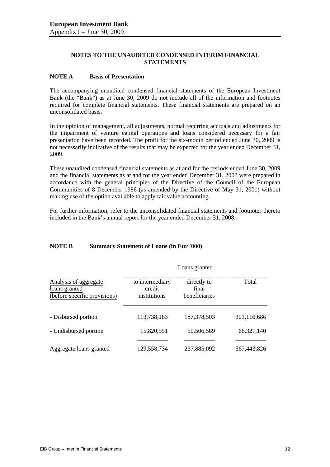## **NOTES TO THE UNAUDITED CONDENSED INTERIM FINANCIAL STATEMENTS**

## **NOTE A Basis of Presentation**

The accompanying unaudited condensed financial statements of the European Investment Bank (the "Bank") as at June 30, 2009 do not include all of the information and footnotes required for complete financial statements. These financial statements are prepared on an unconsolidated basis.

In the opinion of management, all adjustments, normal recurring accruals and adjustments for the impairment of venture capital operations and loans considered necessary for a fair presentation have been recorded. The profit for the six-month period ended June 30, 2009 is not necessarily indicative of the results that may be expected for the year ended December 31, 2009.

These unaudited condensed financial statements as at and for the periods ended June 30, 2009 and the financial statements as at and for the year ended December 31, 2008 were prepared in accordance with the general principles of the Directive of the Council of the European Communities of 8 December 1986 (as amended by the Directive of May 31, 2001) without making use of the option available to apply fair value accounting.

For further information, refer to the unconsolidated financial statements and footnotes thereto included in the Bank's annual report for the year ended December 31, 2008.

## **NOTE B Summary Statement of Loans (in Eur '000)**

|                                                                        | Loans granted                             |                                       |              |  |  |  |  |
|------------------------------------------------------------------------|-------------------------------------------|---------------------------------------|--------------|--|--|--|--|
| Analysis of aggregate<br>loans granted<br>(before specific provisions) | to intermediary<br>credit<br>institutions | directly to<br>final<br>beneficiaries | Total        |  |  |  |  |
| - Disbursed portion                                                    | 113,738,183                               | 187, 378, 503                         | 301,116,686  |  |  |  |  |
| - Undisbursed portion                                                  | 15,820,551                                | 50,506,589                            | 66, 327, 140 |  |  |  |  |
| Aggregate loans granted                                                | 129,558,734                               | 237,885,092                           | 367,443,826  |  |  |  |  |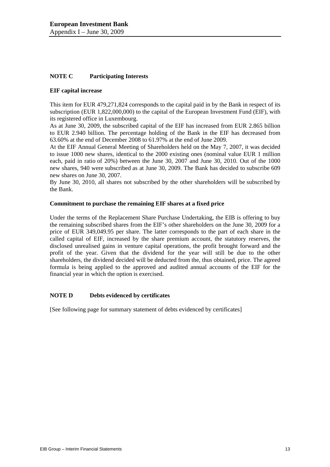## **NOTE C Participating Interests**

## **EIF capital increase**

This item for EUR 479,271,824 corresponds to the capital paid in by the Bank in respect of its subscription (EUR 1,822,000,000) to the capital of the European Investment Fund (EIF), with its registered office in Luxembourg.

As at June 30, 2009, the subscribed capital of the EIF has increased from EUR 2.865 billion to EUR 2.940 billion. The percentage holding of the Bank in the EIF has decreased from 63.60% at the end of December 2008 to 61.97% at the end of June 2009.

At the EIF Annual General Meeting of Shareholders held on the May 7, 2007, it was decided to issue 1000 new shares, identical to the 2000 existing ones (nominal value EUR 1 million each, paid in ratio of 20%) between the June 30, 2007 and June 30, 2010. Out of the 1000 new shares, 940 were subscribed as at June 30, 2009. The Bank has decided to subscribe 609 new shares on June 30, 2007.

By June 30, 2010, all shares not subscribed by the other shareholders will be subscribed by the Bank.

## **Commitment to purchase the remaining EIF shares at a fixed price**

Under the terms of the Replacement Share Purchase Undertaking, the EIB is offering to buy the remaining subscribed shares from the EIF's other shareholders on the June 30, 2009 for a price of EUR 349,049.95 per share. The latter corresponds to the part of each share in the called capital of EIF, increased by the share premium account, the statutory reserves, the disclosed unrealised gains in venture capital operations, the profit brought forward and the profit of the year. Given that the dividend for the year will still be due to the other shareholders, the dividend decided will be deducted from the, thus obtained, price. The agreed formula is being applied to the approved and audited annual accounts of the EIF for the financial year in which the option is exercised.

## **NOTE D** Debts evidenced by certificates

[See following page for summary statement of debts evidenced by certificates]